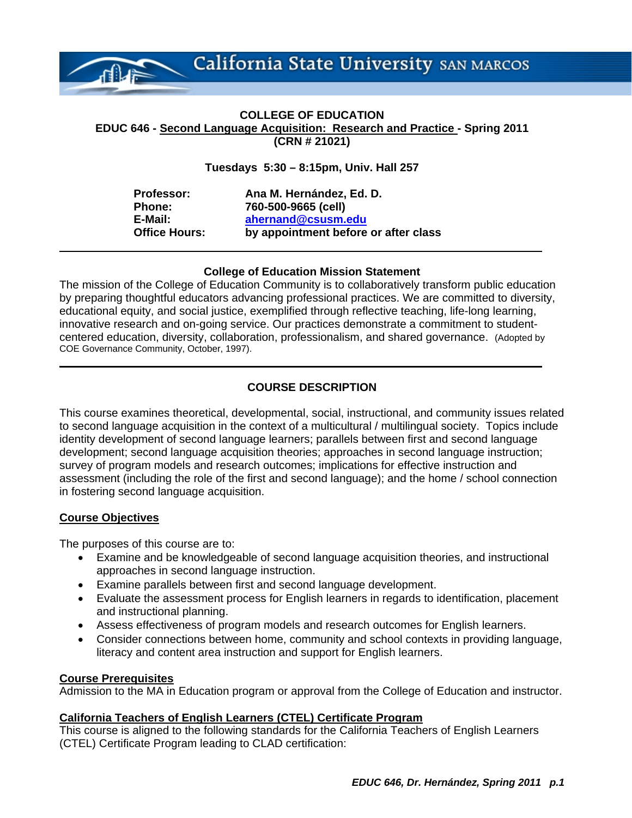

#### **COLLEGE OF EDUCATION EDUC 646 - Second Language Acquisition: Research and Practice - Spring 2011 (CRN # 21021)**

#### **Tuesdays 5:30 – 8:15pm, Univ. Hall 257**

**Professor: Ana M. Hernández, Ed. D. Phone: 760-500-9665 (cell) E-Mail: ahernand@csusm.edu Office Hours: by appointment before or after class** 

#### **College of Education Mission Statement**

The mission of the College of Education Community is to collaboratively transform public education by preparing thoughtful educators advancing professional practices. We are committed to diversity, educational equity, and social justice, exemplified through reflective teaching, life-long learning, innovative research and on-going service. Our practices demonstrate a commitment to studentcentered education, diversity, collaboration, professionalism, and shared governance. (Adopted by COE Governance Community, October, 1997).

#### **COURSE DESCRIPTION**

This course examines theoretical, developmental, social, instructional, and community issues related to second language acquisition in the context of a multicultural / multilingual society. Topics include identity development of second language learners; parallels between first and second language development; second language acquisition theories; approaches in second language instruction; survey of program models and research outcomes; implications for effective instruction and assessment (including the role of the first and second language); and the home / school connection in fostering second language acquisition.

#### **Course Objectives**

The purposes of this course are to:

- Examine and be knowledgeable of second language acquisition theories, and instructional approaches in second language instruction.
- Examine parallels between first and second language development.
- Evaluate the assessment process for English learners in regards to identification, placement and instructional planning.
- Assess effectiveness of program models and research outcomes for English learners.
- Consider connections between home, community and school contexts in providing language, literacy and content area instruction and support for English learners.

#### **Course Prerequisites**

Admission to the MA in Education program or approval from the College of Education and instructor.

#### **California Teachers of English Learners (CTEL) Certificate Program**

This course is aligned to the following standards for the California Teachers of English Learners (CTEL) Certificate Program leading to CLAD certification: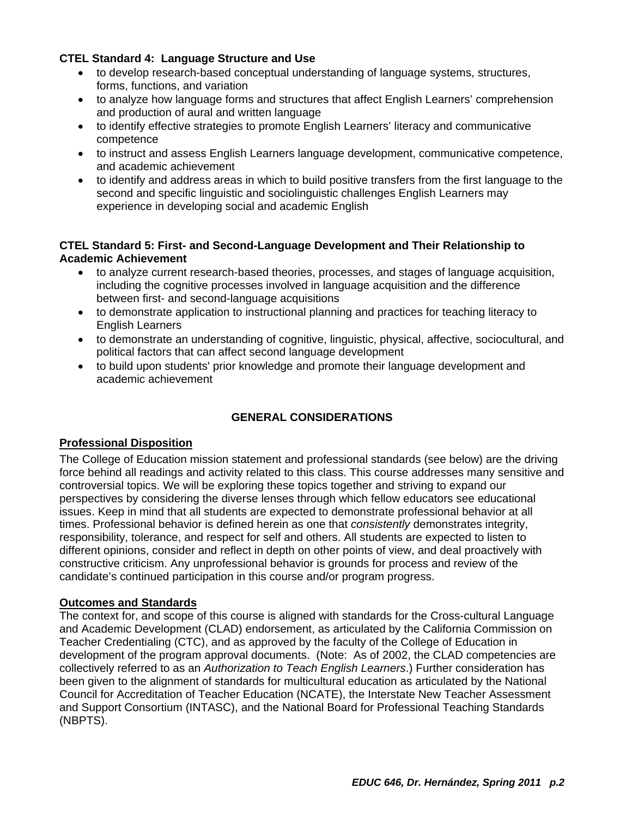#### **CTEL Standard 4: Language Structure and Use**

- to develop research-based conceptual understanding of language systems, structures, forms, functions, and variation
- to analyze how language forms and structures that affect English Learners' comprehension and production of aural and written language
- to identify effective strategies to promote English Learners' literacy and communicative competence
- to instruct and assess English Learners language development, communicative competence, and academic achievement
- to identify and address areas in which to build positive transfers from the first language to the second and specific linguistic and sociolinguistic challenges English Learners may experience in developing social and academic English

#### **CTEL Standard 5: First- and Second-Language Development and Their Relationship to Academic Achievement**

- to analyze current research-based theories, processes, and stages of language acquisition, including the cognitive processes involved in language acquisition and the difference between first- and second-language acquisitions
- to demonstrate application to instructional planning and practices for teaching literacy to English Learners
- to demonstrate an understanding of cognitive, linguistic, physical, affective, sociocultural, and political factors that can affect second language development
- to build upon students' prior knowledge and promote their language development and academic achievement

#### **GENERAL CONSIDERATIONS**

#### **Professional Disposition**

The College of Education mission statement and professional standards (see below) are the driving force behind all readings and activity related to this class. This course addresses many sensitive and controversial topics. We will be exploring these topics together and striving to expand our perspectives by considering the diverse lenses through which fellow educators see educational issues. Keep in mind that all students are expected to demonstrate professional behavior at all times. Professional behavior is defined herein as one that *consistently* demonstrates integrity, responsibility, tolerance, and respect for self and others. All students are expected to listen to different opinions, consider and reflect in depth on other points of view, and deal proactively with constructive criticism. Any unprofessional behavior is grounds for process and review of the candidate's continued participation in this course and/or program progress.

#### **Outcomes and Standards**

The context for, and scope of this course is aligned with standards for the Cross-cultural Language and Academic Development (CLAD) endorsement, as articulated by the California Commission on Teacher Credentialing (CTC), and as approved by the faculty of the College of Education in development of the program approval documents. (Note: As of 2002, the CLAD competencies are collectively referred to as an *Authorization to Teach English Learners*.) Further consideration has been given to the alignment of standards for multicultural education as articulated by the National Council for Accreditation of Teacher Education (NCATE), the Interstate New Teacher Assessment and Support Consortium (INTASC), and the National Board for Professional Teaching Standards (NBPTS).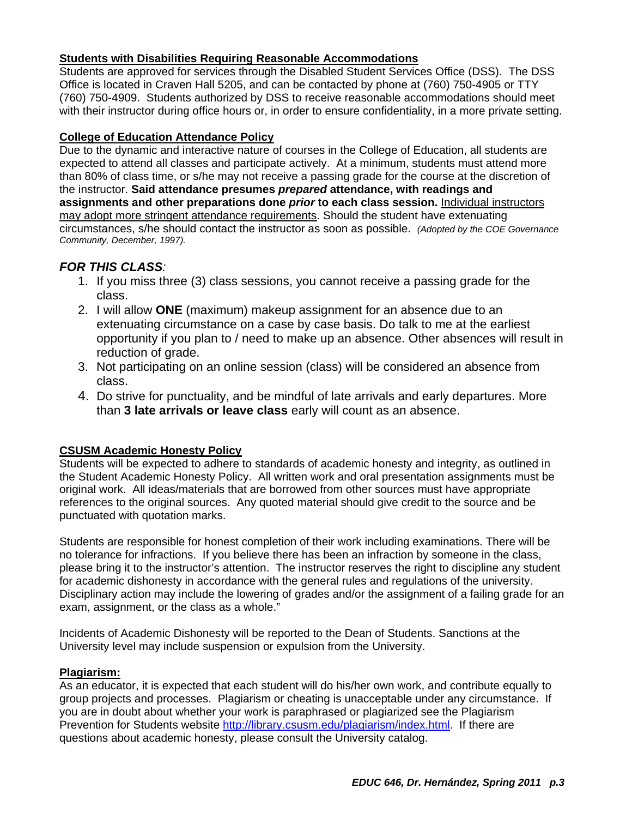#### **Students with Disabilities Requiring Reasonable Accommodations**

Students are approved for services through the Disabled Student Services Office (DSS). The DSS Office is located in Craven Hall 5205, and can be contacted by phone at (760) 750-4905 or TTY (760) 750-4909. Students authorized by DSS to receive reasonable accommodations should meet with their instructor during office hours or, in order to ensure confidentiality, in a more private setting.

#### **College of Education Attendance Policy**

 circumstances, s/he should contact the instructor as soon as possible. *(Adopted by the COE Governance*  Due to the dynamic and interactive nature of courses in the College of Education, all students are expected to attend all classes and participate actively. At a minimum, students must attend more than 80% of class time, or s/he may not receive a passing grade for the course at the discretion of the instructor. **Said attendance presumes** *prepared* **attendance, with readings and assignments and other preparations done** *prior* **to each class session.** Individual instructors may adopt more stringent attendance requirements. Should the student have extenuating *Community, December, 1997).* 

### *FOR THIS CLASS:*

- 1. If you miss three (3) class sessions, you cannot receive a passing grade for the class.
- 2. I will allow **ONE** (maximum) makeup assignment for an absence due to an extenuating circumstance on a case by case basis. Do talk to me at the earliest opportunity if you plan to / need to make up an absence. Other absences will result in reduction of grade.
- 3. Not participating on an online session (class) will be considered an absence from class.
- 4. Do strive for punctuality, and be mindful of late arrivals and early departures. More than **3 late arrivals or leave class** early will count as an absence.

#### **CSUSM Academic Honesty Policy**

Students will be expected to adhere to standards of academic honesty and integrity, as outlined in the Student Academic Honesty Policy. All written work and oral presentation assignments must be original work. All ideas/materials that are borrowed from other sources must have appropriate references to the original sources. Any quoted material should give credit to the source and be punctuated with quotation marks.

Students are responsible for honest completion of their work including examinations. There will be no tolerance for infractions. If you believe there has been an infraction by someone in the class, please bring it to the instructor's attention. The instructor reserves the right to discipline any student for academic dishonesty in accordance with the general rules and regulations of the university. Disciplinary action may include the lowering of grades and/or the assignment of a failing grade for an exam, assignment, or the class as a whole."

Incidents of Academic Dishonesty will be reported to the Dean of Students. Sanctions at the University level may include suspension or expulsion from the University.

#### **Plagiarism:**

As an educator, it is expected that each student will do his/her own work, and contribute equally to group projects and processes. Plagiarism or cheating is unacceptable under any circumstance. If you are in doubt about whether your work is paraphrased or plagiarized see the Plagiarism Prevention for Students website http://library.csusm.edu/plagiarism/index.html. If there are questions about academic honesty, please consult the University catalog.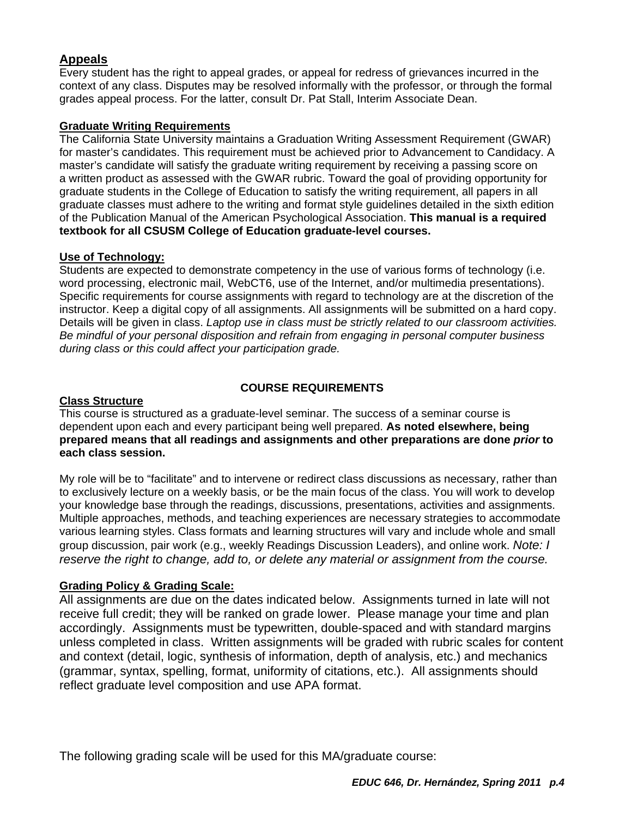## **Appeals**

Every student has the right to appeal grades, or appeal for redress of grievances incurred in the context of any class. Disputes may be resolved informally with the professor, or through the formal grades appeal process. For the latter, consult Dr. Pat Stall, Interim Associate Dean.

#### **Graduate Writing Requirements**

The California State University maintains a Graduation Writing Assessment Requirement (GWAR) for master's candidates. This requirement must be achieved prior to Advancement to Candidacy. A master's candidate will satisfy the graduate writing requirement by receiving a passing score on a written product as assessed with the GWAR rubric. Toward the goal of providing opportunity for graduate students in the College of Education to satisfy the writing requirement, all papers in all graduate classes must adhere to the writing and format style guidelines detailed in the sixth edition of the Publication Manual of the American Psychological Association. **This manual is a required textbook for all CSUSM College of Education graduate-level courses.** 

#### **Use of Technology:**

Students are expected to demonstrate competency in the use of various forms of technology (i.e. word processing, electronic mail, WebCT6, use of the Internet, and/or multimedia presentations). Specific requirements for course assignments with regard to technology are at the discretion of the instructor. Keep a digital copy of all assignments. All assignments will be submitted on a hard copy. Details will be given in class. *Laptop use in class must be strictly related to our classroom activities. Be mindful of your personal disposition and refrain from engaging in personal computer business during class or this could affect your participation grade.* 

#### **COURSE REQUIREMENTS**

#### **Class Structure**

This course is structured as a graduate-level seminar. The success of a seminar course is dependent upon each and every participant being well prepared. **As noted elsewhere, being prepared means that all readings and assignments and other preparations are done** *prior* **to each class session.** 

My role will be to "facilitate" and to intervene or redirect class discussions as necessary, rather than to exclusively lecture on a weekly basis, or be the main focus of the class. You will work to develop your knowledge base through the readings, discussions, presentations, activities and assignments. Multiple approaches, methods, and teaching experiences are necessary strategies to accommodate various learning styles. Class formats and learning structures will vary and include whole and small group discussion, pair work (e.g., weekly Readings Discussion Leaders), and online work. *Note: I reserve the right to change, add to, or delete any material or assignment from the course.* 

#### **Grading Policy & Grading Scale:**

All assignments are due on the dates indicated below. Assignments turned in late will not receive full credit; they will be ranked on grade lower. Please manage your time and plan accordingly. Assignments must be typewritten, double-spaced and with standard margins unless completed in class. Written assignments will be graded with rubric scales for content and context (detail, logic, synthesis of information, depth of analysis, etc.) and mechanics (grammar, syntax, spelling, format, uniformity of citations, etc.). All assignments should reflect graduate level composition and use APA format.

The following grading scale will be used for this MA/graduate course: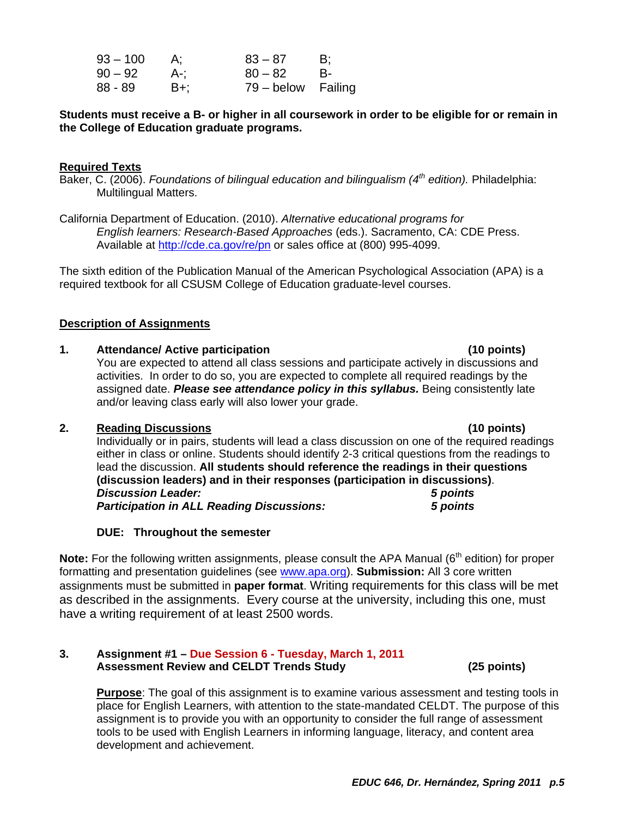| 93 – 100 | А:  | $83 - 87$          | B:   |
|----------|-----|--------------------|------|
| 90 – 92  | A-: | $80 - 82$          | - B- |
| 88 - 89  | B+: | 79 – below Failing |      |

**Students must receive a B- or higher in all coursework in order to be eligible for or remain in the College of Education graduate programs.** 

#### **Required Texts**

Baker, C. (2006). *Foundations of bilingual education and bilingualism (4th edition).* Philadelphia: Multilingual Matters.

California Department of Education. (2010). *Alternative educational programs for English learners: Research-Based Approaches* (eds.). Sacramento, CA: CDE Press. Available at http://cde.ca.gov/re/pn or sales office at (800) 995-4099.

The sixth edition of the Publication Manual of the American Psychological Association (APA) is a required textbook for all CSUSM College of Education graduate-level courses.

#### **Description of Assignments**

#### **1. Attendance/ Active participation (10 points)**

You are expected to attend all class sessions and participate actively in discussions and activities. In order to do so, you are expected to complete all required readings by the assigned date. *Please see attendance policy in this syllabus.* Being consistently late and/or leaving class early will also lower your grade.

#### **2. Reading Discussions (10 points)**

Individually or in pairs, students will lead a class discussion on one of the required readings either in class or online. Students should identify 2-3 critical questions from the readings to lead the discussion. **All students should reference the readings in their questions (discussion leaders) and in their responses (participation in discussions)**. *Discussion Leader: 5 points Participation in ALL Reading Discussions: 5 points* 

#### **DUE: Throughout the semester**

**Note:** For the following written assignments, please consult the APA Manual (6<sup>th</sup> edition) for proper formatting and presentation guidelines (see www.apa.org). **Submission:** All 3 core written assignments must be submitted in **paper format**. Writing requirements for this class will be met as described in the assignments. Every course at the university, including this one, must have a writing requirement of at least 2500 words.

#### **Assessment Review and CELDT Trends Study (25 points) 3. Assignment #1 – Due Session 6 - Tuesday, March 1, 2011**

**Purpose**: The goal of this assignment is to examine various assessment and testing tools in place for English Learners, with attention to the state-mandated CELDT. The purpose of this assignment is to provide you with an opportunity to consider the full range of assessment tools to be used with English Learners in informing language, literacy, and content area development and achievement.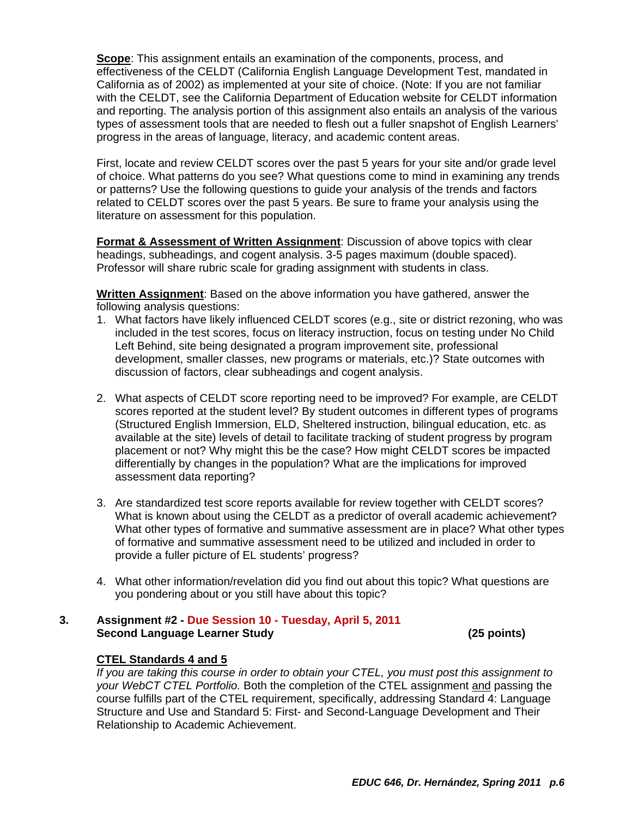**Scope**: This assignment entails an examination of the components, process, and effectiveness of the CELDT (California English Language Development Test, mandated in California as of 2002) as implemented at your site of choice. (Note: If you are not familiar with the CELDT, see the California Department of Education website for CELDT information and reporting. The analysis portion of this assignment also entails an analysis of the various types of assessment tools that are needed to flesh out a fuller snapshot of English Learners' progress in the areas of language, literacy, and academic content areas.

First, locate and review CELDT scores over the past 5 years for your site and/or grade level of choice. What patterns do you see? What questions come to mind in examining any trends or patterns? Use the following questions to guide your analysis of the trends and factors related to CELDT scores over the past 5 years. Be sure to frame your analysis using the literature on assessment for this population.

**Format & Assessment of Written Assignment**: Discussion of above topics with clear headings, subheadings, and cogent analysis. 3-5 pages maximum (double spaced). Professor will share rubric scale for grading assignment with students in class.

**Written Assignment**: Based on the above information you have gathered, answer the following analysis questions:

- 1. What factors have likely influenced CELDT scores (e.g., site or district rezoning, who was included in the test scores, focus on literacy instruction, focus on testing under No Child Left Behind, site being designated a program improvement site, professional development, smaller classes, new programs or materials, etc.)? State outcomes with discussion of factors, clear subheadings and cogent analysis.
- 2. What aspects of CELDT score reporting need to be improved? For example, are CELDT scores reported at the student level? By student outcomes in different types of programs (Structured English Immersion, ELD, Sheltered instruction, bilingual education, etc. as available at the site) levels of detail to facilitate tracking of student progress by program placement or not? Why might this be the case? How might CELDT scores be impacted differentially by changes in the population? What are the implications for improved assessment data reporting?
- 3. Are standardized test score reports available for review together with CELDT scores? What is known about using the CELDT as a predictor of overall academic achievement? What other types of formative and summative assessment are in place? What other types of formative and summative assessment need to be utilized and included in order to provide a fuller picture of EL students' progress?
- 4. What other information/revelation did you find out about this topic? What questions are you pondering about or you still have about this topic?

#### **Second Language Learner Study (25 points) 3. Assignment #2 - Due Session 10 - Tuesday, April 5, 2011**

#### **CTEL Standards 4 and 5**

*If you are taking this course in order to obtain your CTEL, you must post this assignment to your WebCT CTEL Portfolio.* Both the completion of the CTEL assignment and passing the course fulfills part of the CTEL requirement, specifically, addressing Standard 4: Language Structure and Use and Standard 5: First- and Second-Language Development and Their Relationship to Academic Achievement.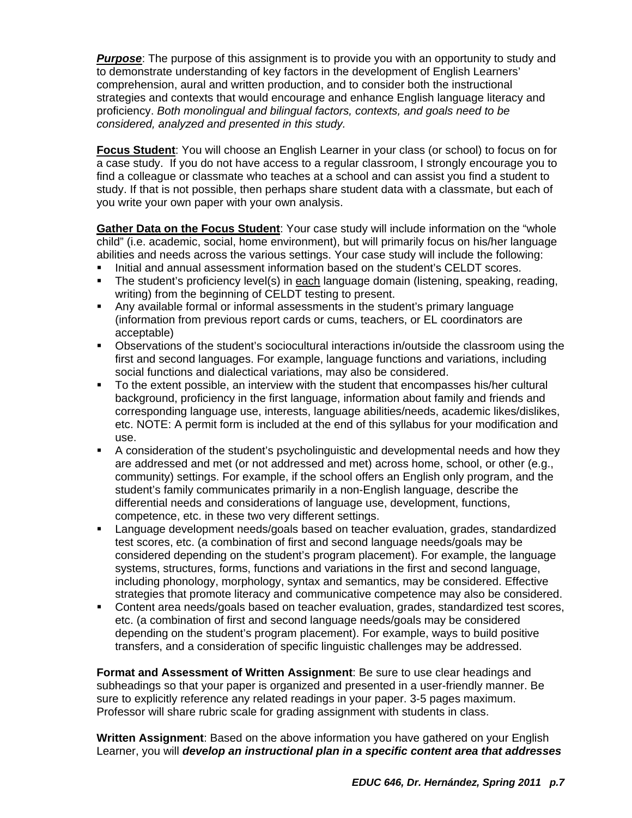*considered, analyzed and presented in this study.* **Purpose**: The purpose of this assignment is to provide you with an opportunity to study and to demonstrate understanding of key factors in the development of English Learners' comprehension, aural and written production, and to consider both the instructional strategies and contexts that would encourage and enhance English language literacy and proficiency. *Both monolingual and bilingual factors, contexts, and goals need to be* 

**Focus Student**: You will choose an English Learner in your class (or school) to focus on for a case study. If you do not have access to a regular classroom, I strongly encourage you to find a colleague or classmate who teaches at a school and can assist you find a student to study. If that is not possible, then perhaps share student data with a classmate, but each of you write your own paper with your own analysis.

**Gather Data on the Focus Student**: Your case study will include information on the "whole child" (i.e. academic, social, home environment), but will primarily focus on his/her language abilities and needs across the various settings. Your case study will include the following:

- Initial and annual assessment information based on the student's CELDT scores.
- The student's proficiency level(s) in each language domain (listening, speaking, reading, writing) from the beginning of CELDT testing to present.
- Any available formal or informal assessments in the student's primary language (information from previous report cards or cums, teachers, or EL coordinators are acceptable)
- Observations of the student's sociocultural interactions in/outside the classroom using the first and second languages. For example, language functions and variations, including social functions and dialectical variations, may also be considered.
- To the extent possible, an interview with the student that encompasses his/her cultural background, proficiency in the first language, information about family and friends and corresponding language use, interests, language abilities/needs, academic likes/dislikes, etc. NOTE: A permit form is included at the end of this syllabus for your modification and use.
- A consideration of the student's psycholinguistic and developmental needs and how they are addressed and met (or not addressed and met) across home, school, or other (e.g., community) settings. For example, if the school offers an English only program, and the student's family communicates primarily in a non-English language, describe the differential needs and considerations of language use, development, functions, competence, etc. in these two very different settings.
- Language development needs/goals based on teacher evaluation, grades, standardized test scores, etc. (a combination of first and second language needs/goals may be considered depending on the student's program placement). For example, the language systems, structures, forms, functions and variations in the first and second language, including phonology, morphology, syntax and semantics, may be considered. Effective strategies that promote literacy and communicative competence may also be considered.
- Content area needs/goals based on teacher evaluation, grades, standardized test scores, etc. (a combination of first and second language needs/goals may be considered depending on the student's program placement). For example, ways to build positive transfers, and a consideration of specific linguistic challenges may be addressed.

**Format and Assessment of Written Assignment**: Be sure to use clear headings and subheadings so that your paper is organized and presented in a user-friendly manner. Be sure to explicitly reference any related readings in your paper. 3-5 pages maximum. Professor will share rubric scale for grading assignment with students in class.

**Written Assignment**: Based on the above information you have gathered on your English Learner, you will *develop an instructional plan in a specific content area that addresses*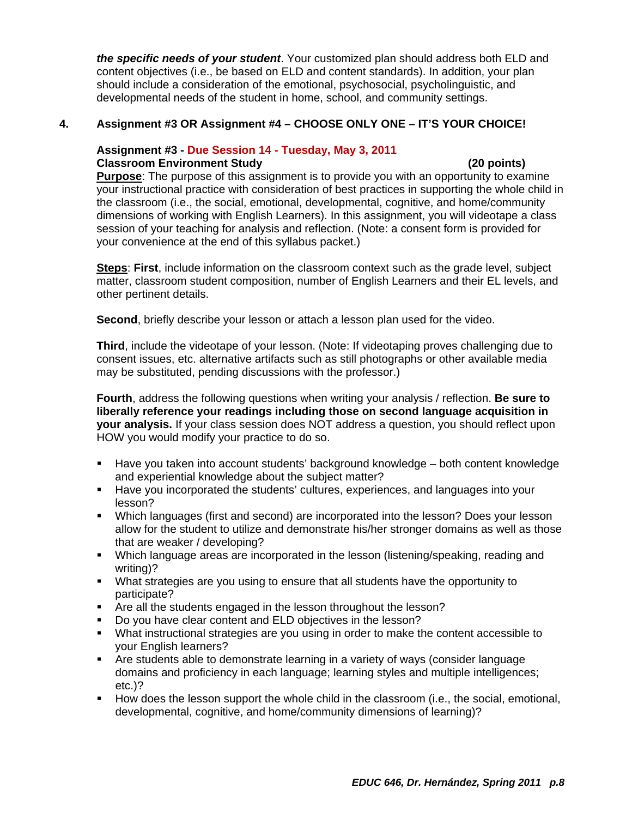*the specific needs of your student*. Your customized plan should address both ELD and content objectives (i.e., be based on ELD and content standards). In addition, your plan should include a consideration of the emotional, psychosocial, psycholinguistic, and developmental needs of the student in home, school, and community settings.

#### **4. Assignment #3 OR Assignment #4 – CHOOSE ONLY ONE – IT'S YOUR CHOICE!**

#### **Assignment #3 - Due Session 14 - Tuesday, May 3, 2011 Classroom Environment Study (20 points)**

**Purpose**: The purpose of this assignment is to provide you with an opportunity to examine your instructional practice with consideration of best practices in supporting the whole child in the classroom (i.e., the social, emotional, developmental, cognitive, and home/community dimensions of working with English Learners). In this assignment, you will videotape a class session of your teaching for analysis and reflection. (Note: a consent form is provided for your convenience at the end of this syllabus packet.)

**Steps**: **First**, include information on the classroom context such as the grade level, subject matter, classroom student composition, number of English Learners and their EL levels, and other pertinent details.

**Second**, briefly describe your lesson or attach a lesson plan used for the video.

**Third**, include the videotape of your lesson. (Note: If videotaping proves challenging due to consent issues, etc. alternative artifacts such as still photographs or other available media may be substituted, pending discussions with the professor.)

**Fourth**, address the following questions when writing your analysis / reflection. **Be sure to liberally reference your readings including those on second language acquisition in your analysis.** If your class session does NOT address a question, you should reflect upon HOW you would modify your practice to do so.

- Have you taken into account students' background knowledge both content knowledge and experiential knowledge about the subject matter?
- Have you incorporated the students' cultures, experiences, and languages into your lesson?
- Which languages (first and second) are incorporated into the lesson? Does your lesson allow for the student to utilize and demonstrate his/her stronger domains as well as those that are weaker / developing?
- Which language areas are incorporated in the lesson (listening/speaking, reading and writing)?
- What strategies are you using to ensure that all students have the opportunity to participate?
- **F** Are all the students engaged in the lesson throughout the lesson?
- Do you have clear content and ELD objectives in the lesson?
- What instructional strategies are you using in order to make the content accessible to your English learners?
- Are students able to demonstrate learning in a variety of ways (consider language domains and proficiency in each language; learning styles and multiple intelligences; etc.)?
- How does the lesson support the whole child in the classroom (i.e., the social, emotional, developmental, cognitive, and home/community dimensions of learning)?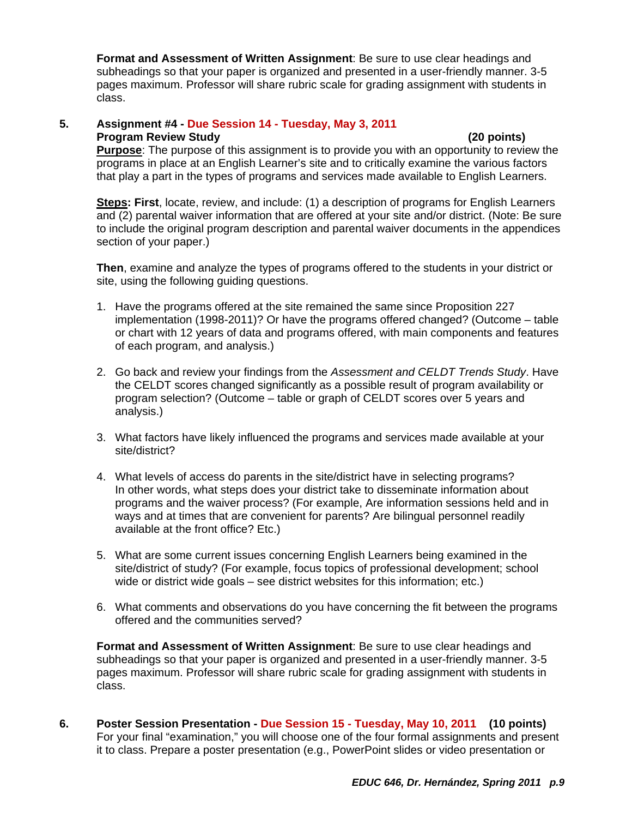**Format and Assessment of Written Assignment**: Be sure to use clear headings and subheadings so that your paper is organized and presented in a user-friendly manner. 3-5 pages maximum. Professor will share rubric scale for grading assignment with students in class.

#### 5. **5. Assignment #4 - Due Session 14 - Tuesday, May 3, 2011 Program Review Study (20 points)**

**Purpose**: The purpose of this assignment is to provide you with an opportunity to review the programs in place at an English Learner's site and to critically examine the various factors that play a part in the types of programs and services made available to English Learners.

**Steps: First**, locate, review, and include: (1) a description of programs for English Learners and (2) parental waiver information that are offered at your site and/or district. (Note: Be sure to include the original program description and parental waiver documents in the appendices section of your paper.)

**Then**, examine and analyze the types of programs offered to the students in your district or site, using the following guiding questions.

- 1. Have the programs offered at the site remained the same since Proposition 227 implementation (1998-2011)? Or have the programs offered changed? (Outcome – table or chart with 12 years of data and programs offered, with main components and features of each program, and analysis.)
- 2. Go back and review your findings from the *Assessment and CELDT Trends Study*. Have the CELDT scores changed significantly as a possible result of program availability or program selection? (Outcome – table or graph of CELDT scores over 5 years and analysis.)
- 3. What factors have likely influenced the programs and services made available at your site/district?
- 4. What levels of access do parents in the site/district have in selecting programs? In other words, what steps does your district take to disseminate information about programs and the waiver process? (For example, Are information sessions held and in ways and at times that are convenient for parents? Are bilingual personnel readily available at the front office? Etc.)
- 5. What are some current issues concerning English Learners being examined in the site/district of study? (For example, focus topics of professional development; school wide or district wide goals – see district websites for this information; etc.)
- 6. What comments and observations do you have concerning the fit between the programs offered and the communities served?

**Format and Assessment of Written Assignment**: Be sure to use clear headings and subheadings so that your paper is organized and presented in a user-friendly manner. 3-5 pages maximum. Professor will share rubric scale for grading assignment with students in class.

**6. Poster Session Presentation - Due Session 15 - Tuesday, May 10, 2011 (10 points)**  For your final "examination," you will choose one of the four formal assignments and present it to class. Prepare a poster presentation (e.g., PowerPoint slides or video presentation or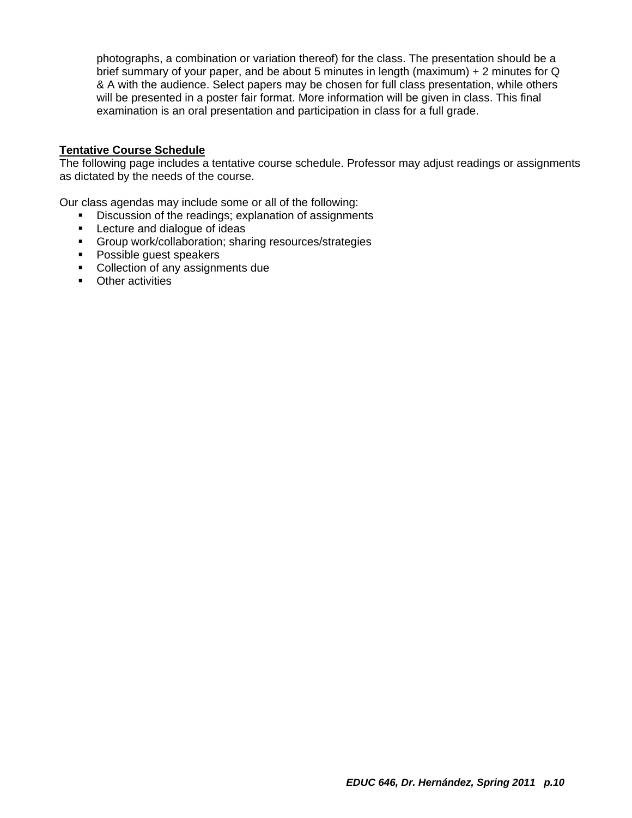photographs, a combination or variation thereof) for the class. The presentation should be a brief summary of your paper, and be about 5 minutes in length (maximum) + 2 minutes for Q & A with the audience. Select papers may be chosen for full class presentation, while others will be presented in a poster fair format. More information will be given in class. This final examination is an oral presentation and participation in class for a full grade.

#### **Tentative Course Schedule**

The following page includes a tentative course schedule. Professor may adjust readings or assignments as dictated by the needs of the course.

Our class agendas may include some or all of the following:

- Discussion of the readings; explanation of assignments
- **EXECT** Lecture and dialogue of ideas
- Group work/collaboration; sharing resources/strategies
- **Possible guest speakers**
- Collection of any assignments due
- **•** Other activities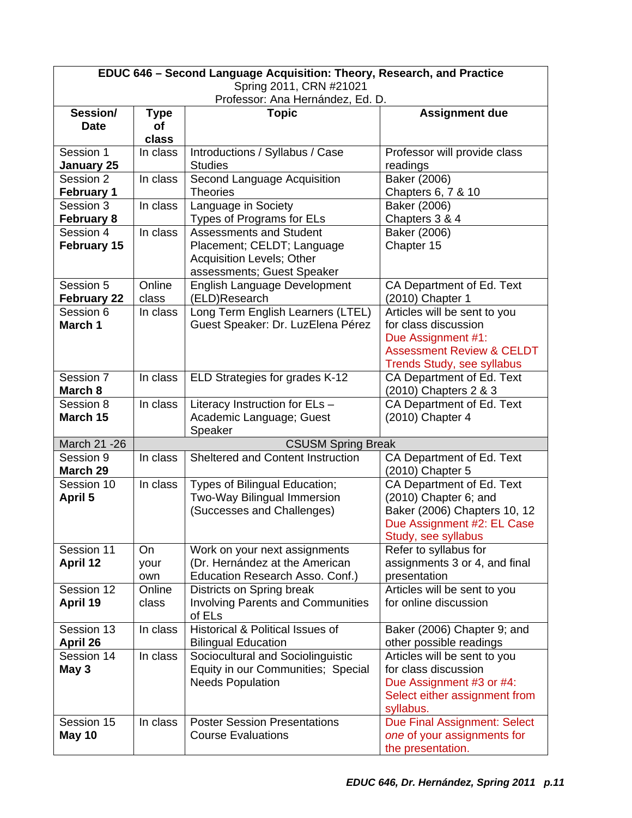| EDUC 646 - Second Language Acquisition: Theory, Research, and Practice |                        |                                                                |                                                            |  |  |
|------------------------------------------------------------------------|------------------------|----------------------------------------------------------------|------------------------------------------------------------|--|--|
| Spring 2011, CRN #21021<br>Professor: Ana Hernández, Ed. D.            |                        |                                                                |                                                            |  |  |
| Session/                                                               | <b>Type</b>            | <b>Topic</b>                                                   | <b>Assignment due</b>                                      |  |  |
| <b>Date</b>                                                            | of                     |                                                                |                                                            |  |  |
|                                                                        | class                  |                                                                |                                                            |  |  |
| Session 1                                                              | In class               | Introductions / Syllabus / Case                                | Professor will provide class                               |  |  |
| <b>January 25</b><br>Session 2                                         | In class               | <b>Studies</b>                                                 | readings<br><b>Baker</b> (2006)                            |  |  |
| <b>February 1</b>                                                      |                        | Second Language Acquisition<br><b>Theories</b>                 | Chapters 6, 7 & 10                                         |  |  |
| Session 3                                                              | $\overline{\ln}$ class | Language in Society                                            | Baker (2006)                                               |  |  |
| <b>February 8</b>                                                      |                        | Types of Programs for ELs                                      | Chapters 3 & 4                                             |  |  |
| Session 4                                                              | In class               | <b>Assessments and Student</b>                                 | Baker (2006)                                               |  |  |
| <b>February 15</b>                                                     |                        | Placement; CELDT; Language                                     | Chapter 15                                                 |  |  |
|                                                                        |                        | <b>Acquisition Levels; Other</b>                               |                                                            |  |  |
|                                                                        |                        | assessments; Guest Speaker                                     |                                                            |  |  |
| Session 5<br><b>February 22</b>                                        | Online<br>class        | English Language Development<br>(ELD)Research                  | CA Department of Ed. Text<br>(2010) Chapter 1              |  |  |
| Session 6                                                              | In class               | Long Term English Learners (LTEL)                              | Articles will be sent to you                               |  |  |
| March 1                                                                |                        | Guest Speaker: Dr. LuzElena Pérez                              | for class discussion                                       |  |  |
|                                                                        |                        |                                                                | Due Assignment #1:<br><b>Assessment Review &amp; CELDT</b> |  |  |
|                                                                        |                        |                                                                | <b>Trends Study, see syllabus</b>                          |  |  |
| Session 7                                                              | In class               | ELD Strategies for grades K-12                                 | CA Department of Ed. Text                                  |  |  |
| March 8                                                                |                        |                                                                | (2010) Chapters 2 & 3                                      |  |  |
| Session 8                                                              | In class               | Literacy Instruction for ELs -                                 | CA Department of Ed. Text                                  |  |  |
| March 15                                                               |                        | Academic Language; Guest<br>Speaker                            | (2010) Chapter 4                                           |  |  |
| March 21 - 26                                                          |                        | <b>CSUSM Spring Break</b>                                      |                                                            |  |  |
| Session 9<br>March 29                                                  | In class               | Sheltered and Content Instruction                              | CA Department of Ed. Text<br>(2010) Chapter 5              |  |  |
| Session 10                                                             | In class               | Types of Bilingual Education;                                  | CA Department of Ed. Text                                  |  |  |
| <b>April 5</b>                                                         |                        | Two-Way Bilingual Immersion                                    | (2010) Chapter 6; and                                      |  |  |
|                                                                        |                        | (Successes and Challenges)                                     | Baker (2006) Chapters 10, 12                               |  |  |
|                                                                        |                        |                                                                | Due Assignment #2: EL Case                                 |  |  |
| Session 11                                                             | On                     | Work on your next assignments                                  | Study, see syllabus<br>Refer to syllabus for               |  |  |
| <b>April 12</b>                                                        | your                   | (Dr. Hernández at the American                                 | assignments 3 or 4, and final                              |  |  |
|                                                                        | own                    | Education Research Asso. Conf.)                                | presentation                                               |  |  |
| Session 12                                                             | Online                 | Districts on Spring break                                      | Articles will be sent to you                               |  |  |
| April 19                                                               | class                  | <b>Involving Parents and Communities</b><br>of ELs             | for online discussion                                      |  |  |
| Session 13<br>April 26                                                 | In class               | Historical & Political Issues of<br><b>Bilingual Education</b> | Baker (2006) Chapter 9; and<br>other possible readings     |  |  |
| Session 14                                                             | In class               | Sociocultural and Sociolinguistic                              | Articles will be sent to you                               |  |  |
| May 3                                                                  |                        | Equity in our Communities; Special                             | for class discussion                                       |  |  |
|                                                                        |                        | <b>Needs Population</b>                                        | Due Assignment #3 or #4:                                   |  |  |
|                                                                        |                        |                                                                | Select either assignment from                              |  |  |
|                                                                        |                        |                                                                | syllabus.                                                  |  |  |
| Session 15                                                             | In class               | <b>Poster Session Presentations</b>                            | Due Final Assignment: Select                               |  |  |
| May 10                                                                 |                        | <b>Course Evaluations</b>                                      | one of your assignments for<br>the presentation.           |  |  |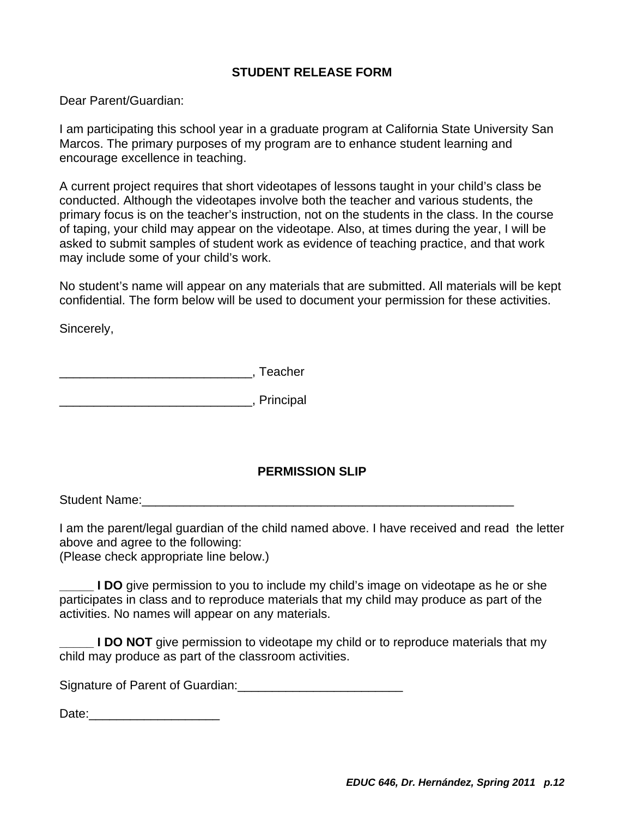## **STUDENT RELEASE FORM**

Dear Parent/Guardian:

encourage excellence in teaching. I am participating this school year in a graduate program at California State University San Marcos. The primary purposes of my program are to enhance student learning and

A current project requires that short videotapes of lessons taught in your child's class be conducted. Although the videotapes involve both the teacher and various students, the primary focus is on the teacher's instruction, not on the students in the class. In the course of taping, your child may appear on the videotape. Also, at times during the year, I will be asked to submit samples of student work as evidence of teaching practice, and that work may include some of your child's work.

No student's name will appear on any materials that are submitted. All materials will be kept confidential. The form below will be used to document your permission for these activities.

Sincerely,

\_\_\_\_\_\_\_\_\_\_\_\_\_\_\_\_\_\_\_\_\_\_\_\_\_\_\_\_, Teacher

\_\_\_\_\_\_\_\_\_\_\_\_\_\_\_\_\_\_\_\_\_\_\_\_\_\_\_\_, Principal

## **PERMISSION SLIP**

Student Name:<br>
and the student of the student of the student of the student of the student of the student of the student of t

I am the parent/legal guardian of the child named above. I have received and read the letter above and agree to the following:

(Please check appropriate line below.)

**I DO** give permission to you to include my child's image on videotape as he or she participates in class and to reproduce materials that my child may produce as part of the activities. No names will appear on any materials.

**I DO NOT** give permission to videotape my child or to reproduce materials that my child may produce as part of the classroom activities.

Signature of Parent of Guardian:

Date:\_\_\_\_\_\_\_\_\_\_\_\_\_\_\_\_\_\_\_